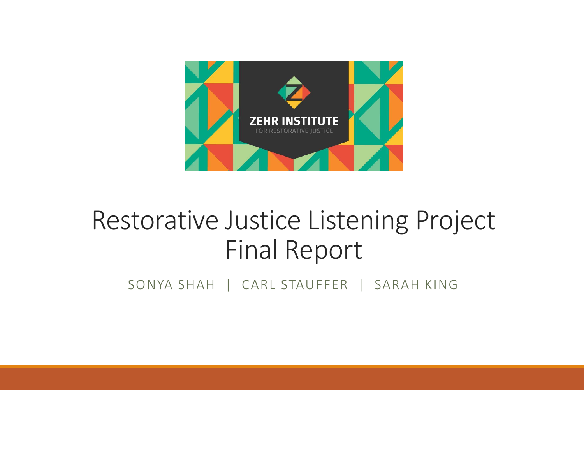

### Restorative Justice Listening ProjectFinal Report

SONYA SHAH | CARL STAUFFER | SARAH KING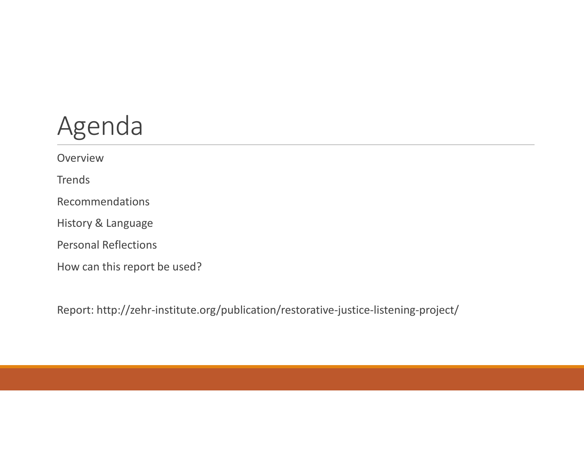# Agenda

Overview**Trends** RecommendationsHistory & LanguagePersonal ReflectionsHow can this report be used?

Report: http://zehr-institute.org/publication/restorative-justice-listening-project/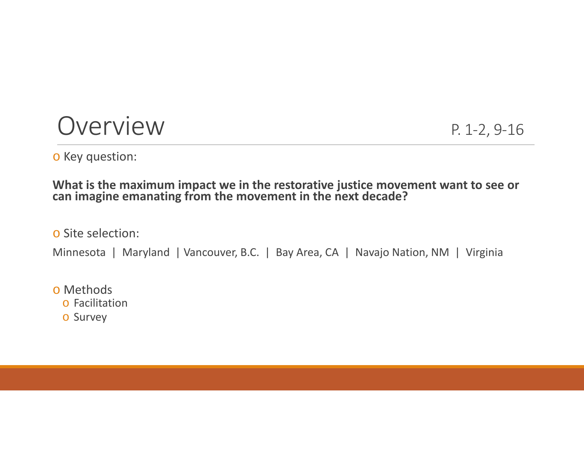#### Overview P. 1-2, 9-16

o Key question:

#### **What is the maximum impact we in the restorative justice movement want to see or can imagine emanating from the movement in the next decade?**

o Site selection:

Minnesota | Maryland | Vancouver, B.C. | Bay Area, CA | Navajo Nation, NM | Virginia

o Methods

o Facilitation

o Survey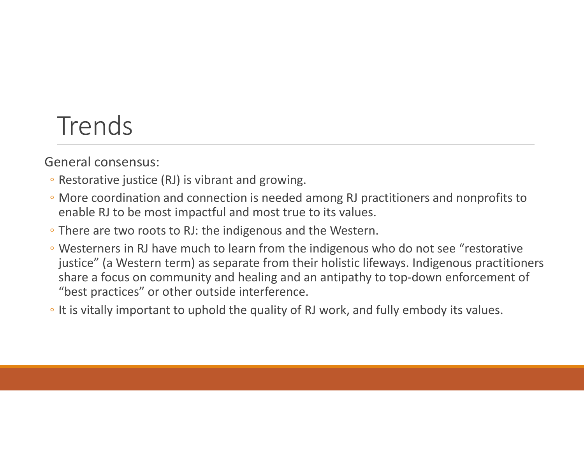### Trends

General consensus:

- Restorative justice (RJ) is vibrant and growing.
- More coordination and connection is needed among RJ practitioners and nonprofits to enable RJ to be most impactful and most true to its values.
- There are two roots to RJ: the indigenous and the Western.
- Westerners in RJ have much to learn from the indigenous who do not see "restorative justice" (a Western term) as separate from their holistic lifeways. Indigenous practitioners share a focus on community and healing and an antipathy to top-down enforcement of "best practices" or other outside interference.
- It is vitally important to uphold the quality of RJ work, and fully embody its values.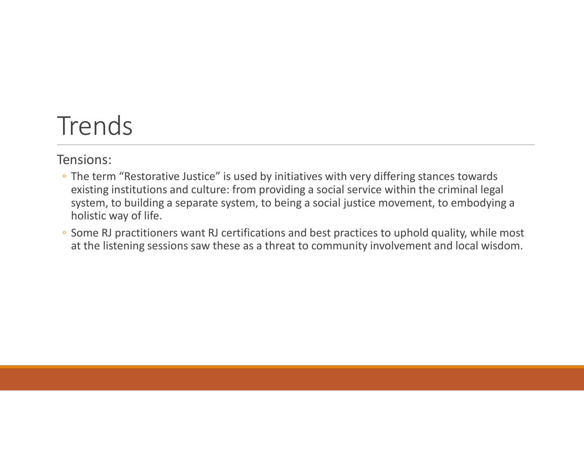### Trends

Tensions:

- The term "Restorative Justice" is used by initiatives with very differing stances towards existing institutions and culture: from providing a social service within the criminal legal system, to building a separate system, to being a social justice movement, to embodying a holistic way of life.
- Some RJ practitioners want RJ certifications and best practices to uphold quality, while most at the listening sessions saw these as a threat to community involvement and local wisdom.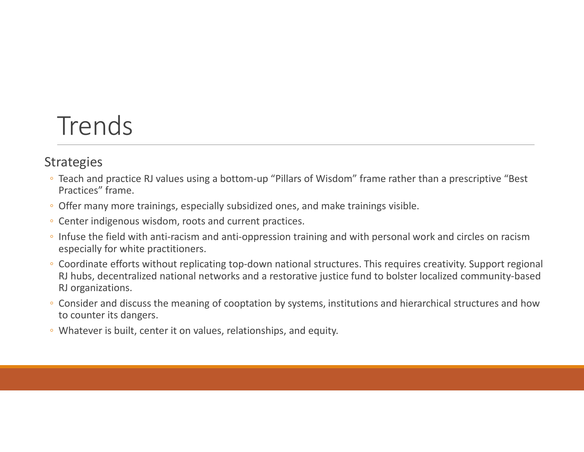#### Trends

#### **Strategies**

- Teach and practice RJ values using a bottom-up "Pillars of Wisdom" frame rather than a prescriptive "Best Practices" frame.
- Offer many more trainings, especially subsidized ones, and make trainings visible.
- Center indigenous wisdom, roots and current practices.
- Infuse the field with anti-racism and anti-oppression training and with personal work and circles on racism especially for white practitioners.
- Coordinate efforts without replicating top-down national structures. This requires creativity. Support regional RJ hubs, decentralized national networks and a restorative justice fund to bolster localized community-based RJ organizations.
- Consider and discuss the meaning of cooptation by systems, institutions and hierarchical structures and how to counter its dangers.
- Whatever is built, center it on values, relationships, and equity.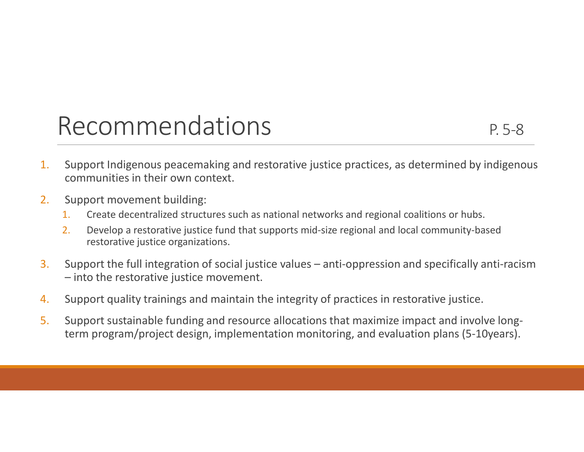#### Recommendations P.5-8

- 1. Support Indigenous peacemaking and restorative justice practices, as determined by indigenous communities in their own context.
- 2. Support movement building:
	- 1.Create decentralized structures such as national networks and regional coalitions or hubs.
	- 2. Develop a restorative justice fund that supports mid-size regional and local community-based restorative justice organizations.
- 3. Support the full integration of social justice values – anti-oppression and specifically anti-racism – into the restorative justice movement.
- 4.Support quality trainings and maintain the integrity of practices in restorative justice.
- 5. Support sustainable funding and resource allocations that maximize impact and involve longterm program/project design, implementation monitoring, and evaluation plans (5-10years).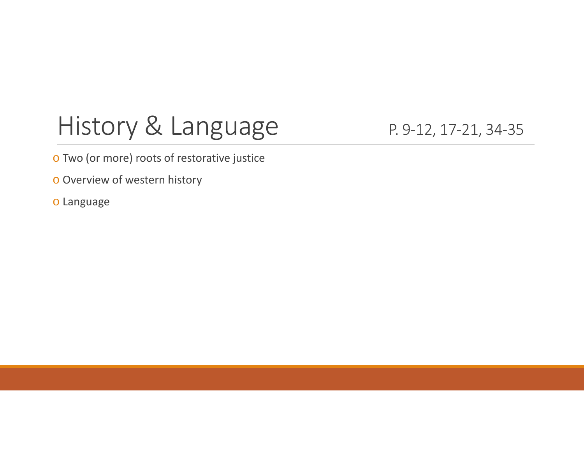# History & Language P. 9-12, 17-21, 34-35

o Two (or more) roots of restorative justice

<mark>o Overview of western history</mark>

o Language